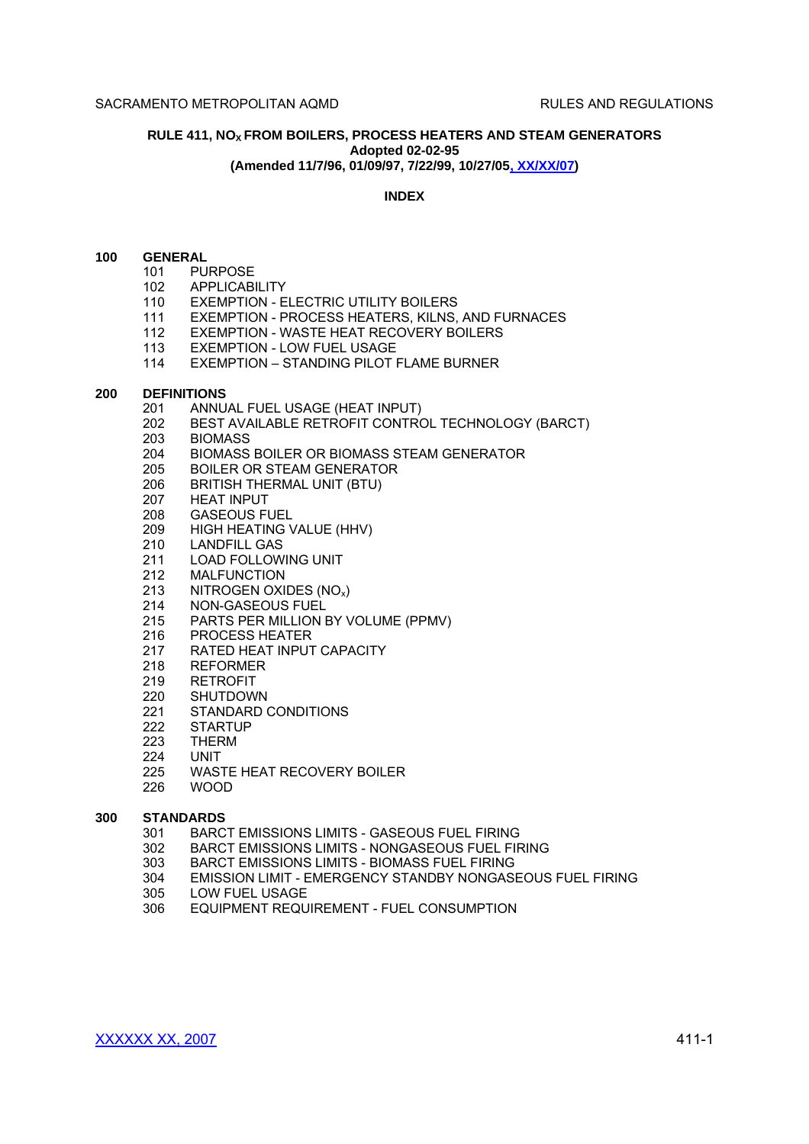# **RULE 411, NO<sup>X</sup> FROM BOILERS, PROCESS HEATERS AND STEAM GENERATORS Adopted 02-02-95 (Amended 11/7/96, 01/09/97, 7/22/99, 10/27/05, XX/XX/07)**

## **INDEX**

# **100 GENERAL**

- 101 PURPOSE
- 102 APPLICABILITY
- 110 EXEMPTION ELECTRIC UTILITY BOILERS
- 111 EXEMPTION PROCESS HEATERS, KILNS, AND FURNACES
- 112 EXEMPTION WASTE HEAT RECOVERY BOILERS
- 113 EXEMPTION LOW FUEL USAGE
- 114 EXEMPTION STANDING PILOT FLAME BURNER

#### **200 DEFINITIONS**

- 201 ANNUAL FUEL USAGE (HEAT INPUT)
- 202 BEST AVAILABLE RETROFIT CONTROL TECHNOLOGY (BARCT)<br>203 BIOMASS
- **BIOMASS**
- 204 BIOMASS BOILER OR BIOMASS STEAM GENERATOR
- 205 BOILER OR STEAM GENERATOR
- 206 BRITISH THERMAL UNIT (BTU)
- 207 HEAT INPUT
- 208 GASEOUS FUEL
- 209 HIGH HEATING VALUE (HHV)
- 210 LANDFILL GAS
- 211 LOAD FOLLOWING UNIT
- 212 MALFUNCTION
- 213 NITROGEN OXIDES (NOx)
- 214 NON-GASEOUS FUEL
- 215 PARTS PER MILLION BY VOLUME (PPMV)
- 216 PROCESS HEATER
- 217 RATED HEAT INPUT CAPACITY
- 218 REFORMER
- 219 RETROFIT
- 220 SHUTDOWN
- 221 STANDARD CONDITIONS
- 222 STARTUP
- 223 THERM
- 224 UNIT
- 225 WASTE HEAT RECOVERY BOILER<br>226 WOOD
- 226 WOOD

### **300 STANDARDS**

- 301 BARCT EMISSIONS LIMITS GASEOUS FUEL FIRING
- 302 BARCT EMISSIONS LIMITS NONGASEOUS FUEL FIRING
- 303 BARCT EMISSIONS LIMITS BIOMASS FUEL FIRING
- 304 EMISSION LIMIT EMERGENCY STANDBY NONGASEOUS FUEL FIRING
- 305 LOW FUEL USAGE
- 306 EQUIPMENT REQUIREMENT FUEL CONSUMPTION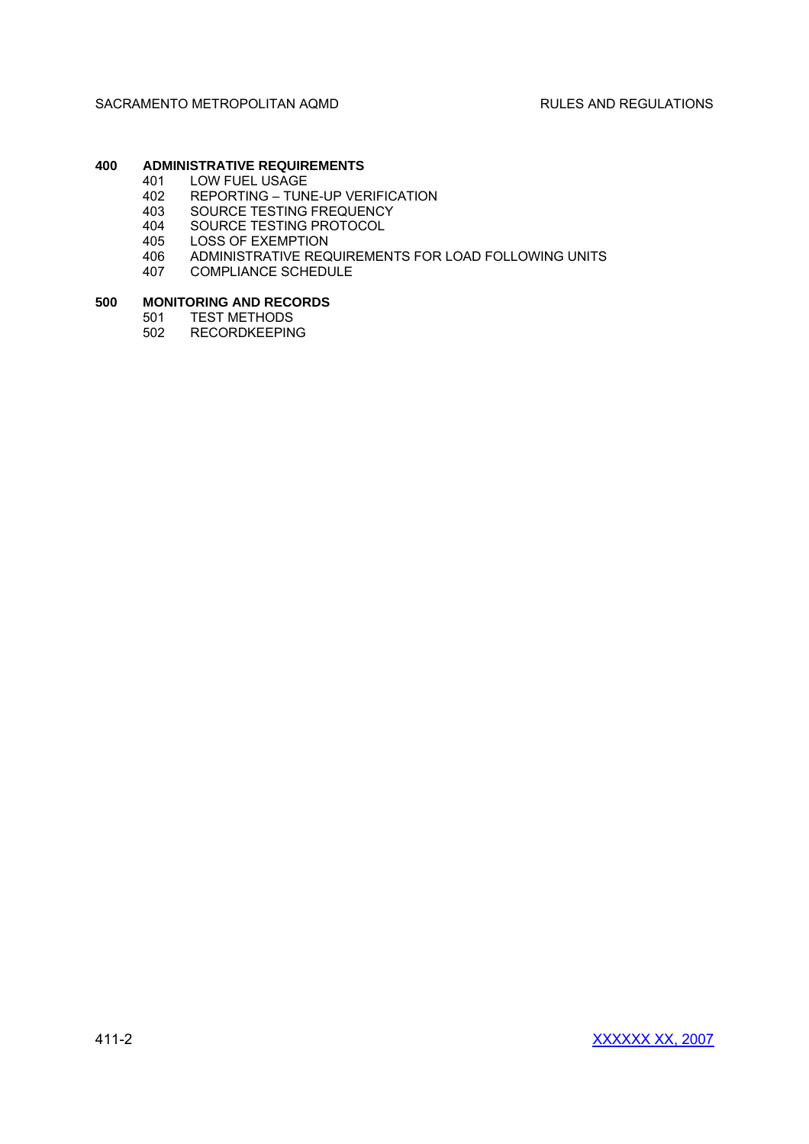# **400 ADMINISTRATIVE REQUIREMENTS**

- 401 LOW FUEL USAGE<br>402 REPORTING TUN
- 402 REPORTING TUNE-UP VERIFICATION<br>403 SOURCE TESTING FREQUENCY
- 403 SOURCE TESTING FREQUENCY<br>404 SOURCE TESTING PROTOCOL
- 404 SOURCE TESTING PROTOCOL<br>405 LOSS OF EXEMPTION
- LOSS OF EXEMPTION
- 406 ADMINISTRATIVE REQUIREMENTS FOR LOAD FOLLOWING UNITS
- 407 COMPLIANCE SCHEDULE

### **500 MONITORING AND RECORDS**

- 501 TEST METHODS
- 502 RECORDKEEPING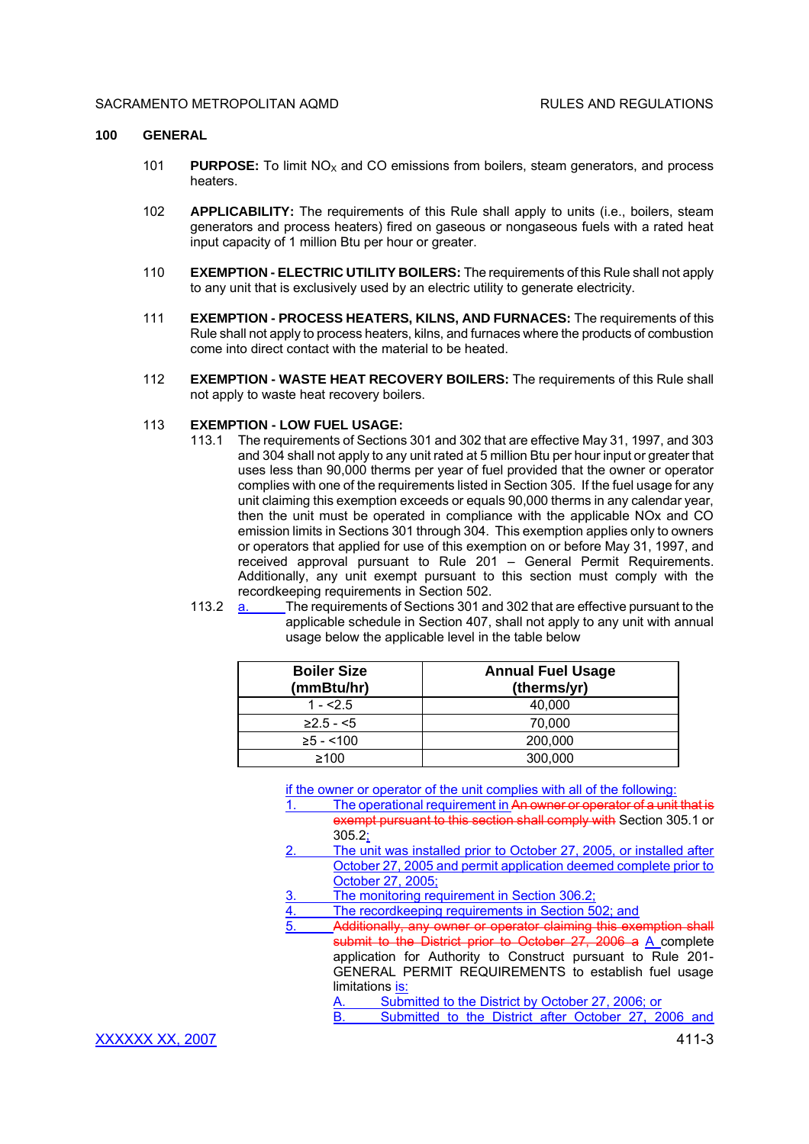#### **100 GENERAL**

- 101 **PURPOSE:** To limit  $NO<sub>x</sub>$  and CO emissions from boilers, steam generators, and process heaters.
- 102 **APPLICABILITY:** The requirements of this Rule shall apply to units (i.e., boilers, steam generators and process heaters) fired on gaseous or nongaseous fuels with a rated heat input capacity of 1 million Btu per hour or greater.
- 110 **EXEMPTION ELECTRIC UTILITY BOILERS:** The requirements of this Rule shall not apply to any unit that is exclusively used by an electric utility to generate electricity.
- 111 **EXEMPTION PROCESS HEATERS, KILNS, AND FURNACES:** The requirements of this Rule shall not apply to process heaters, kilns, and furnaces where the products of combustion come into direct contact with the material to be heated.
- 112 **EXEMPTION WASTE HEAT RECOVERY BOILERS:** The requirements of this Rule shall not apply to waste heat recovery boilers.

# 113 **EXEMPTION - LOW FUEL USAGE:**

- 113.1 The requirements of Sections 301 and 302 that are effective May 31, 1997, and 303 and 304 shall not apply to any unit rated at 5 million Btu per hour input or greater that uses less than 90,000 therms per year of fuel provided that the owner or operator complies with one of the requirements listed in Section 305. If the fuel usage for any unit claiming this exemption exceeds or equals 90,000 therms in any calendar year, then the unit must be operated in compliance with the applicable NOx and CO emission limits in Sections 301 through 304. This exemption applies only to owners or operators that applied for use of this exemption on or before May 31, 1997, and received approval pursuant to Rule 201 - General Permit Requirements. Additionally, any unit exempt pursuant to this section must comply with the recordkeeping requirements in Section 502.
- 113.2 a. The requirements of Sections 301 and 302 that are effective pursuant to the applicable schedule in Section 407, shall not apply to any unit with annual usage below the applicable level in the table below

| <b>Boiler Size</b><br>(mmBtu/hr) | <b>Annual Fuel Usage</b><br>(therms/yr) |
|----------------------------------|-----------------------------------------|
| $1 - 2.5$                        | 40.000                                  |
| $\geq$ 2.5 - <5                  | 70,000                                  |
| $≥5 - < 100$                     | 200,000                                 |
| >100                             | 300,000                                 |

if the owner or operator of the unit complies with all of the following:

- 1. The operational requirement in An owner or operator of a unit that is exempt pursuant to this section shall comply with Section 305.1 or 305.2;
- 2. The unit was installed prior to October 27, 2005, or installed after October 27, 2005 and permit application deemed complete prior to October 27, 2005;
- 3. The monitoring requirement in Section 306.2;
- 4. The recordkeeping requirements in Section 502; and
	- Additionally, any owner or operator claiming this exemption shall submit to the District prior to October 27, 2006 a A complete application for Authority to Construct pursuant to Rule 201- GENERAL PERMIT REQUIREMENTS to establish fuel usage limitations is:
		-

Submitted to the District by October 27, 2006; or<br>Submitted to the District after October 27, 2006 and B. Submitted to the District after October 27,

XXXXXX XX, 2007 411-3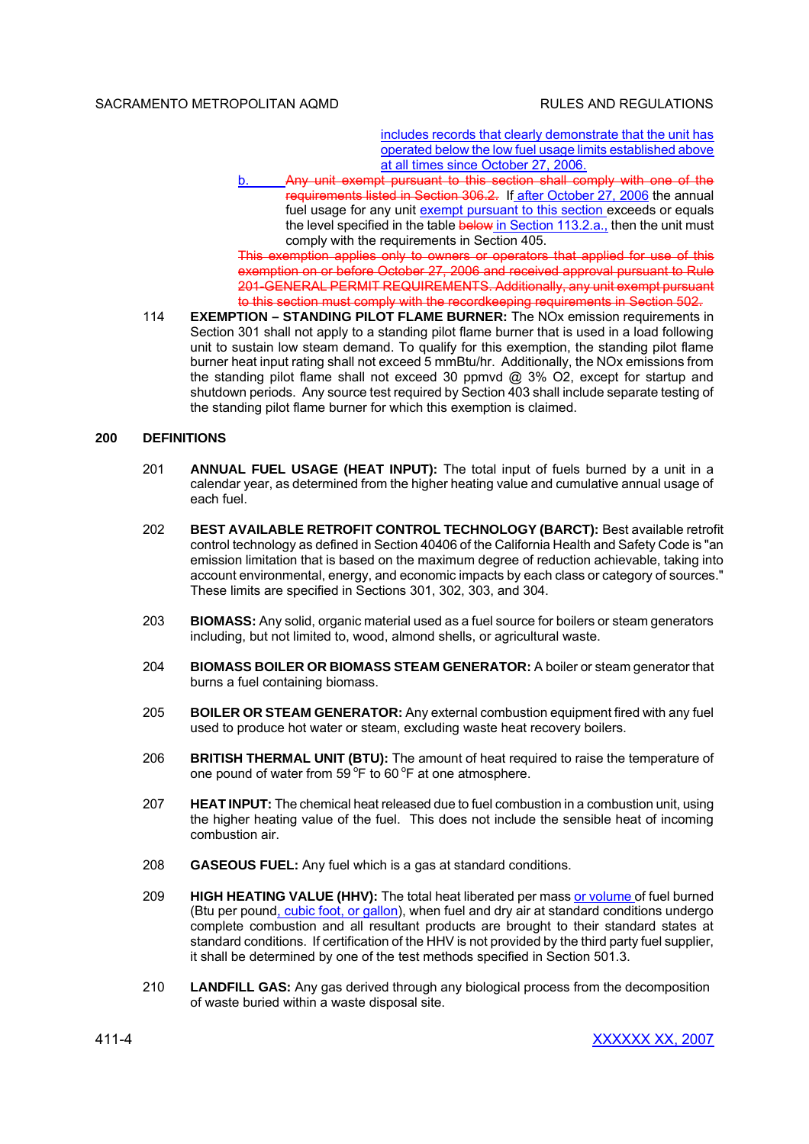## SACRAMENTO METROPOLITAN AOMD **REGULATIONS RULES AND REGULATIONS**

includes records that clearly demonstrate that the unit has operated below the low fuel usage limits established above at all times since October 27, 2006.

Any unit exempt pursuant to this section shall comply with one of the requirements listed in Section 306.2. If after October 27, 2006 the annual fuel usage for any unit exempt pursuant to this section exceeds or equals the level specified in the table below in Section 113.2.a., then the unit must comply with the requirements in Section 405.

This exemption applies only to owners or operators that applied for use of this exemption on or before October 27, 2006 and received approval pursuant to Rule 201-GENERAL PERMIT REQUIREMENTS. Additionally, any unit exempt pursuant to this section must comply with the recordkeeping requirements in Section 502.

114 **EXEMPTION – STANDING PILOT FLAME BURNER:** The NOx emission requirements in Section 301 shall not apply to a standing pilot flame burner that is used in a load following unit to sustain low steam demand. To qualify for this exemption, the standing pilot flame burner heat input rating shall not exceed 5 mmBtu/hr. Additionally, the NOx emissions from the standing pilot flame shall not exceed 30 ppmvd @ 3% O2, except for startup and shutdown periods. Any source test required by Section 403 shall include separate testing of the standing pilot flame burner for which this exemption is claimed.

# **200 DEFINITIONS**

- 201 **ANNUAL FUEL USAGE (HEAT INPUT):** The total input of fuels burned by a unit in a calendar year, as determined from the higher heating value and cumulative annual usage of each fuel.
- 202 **BEST AVAILABLE RETROFIT CONTROL TECHNOLOGY (BARCT):** Best available retrofit control technology as defined in Section 40406 of the California Health and Safety Code is "an emission limitation that is based on the maximum degree of reduction achievable, taking into account environmental, energy, and economic impacts by each class or category of sources." These limits are specified in Sections 301, 302, 303, and 304.
- 203 **BIOMASS:** Any solid, organic material used as a fuel source for boilers or steam generators including, but not limited to, wood, almond shells, or agricultural waste.
- 204 **BIOMASS BOILER OR BIOMASS STEAM GENERATOR:** A boiler or steam generator that burns a fuel containing biomass.
- 205 **BOILER OR STEAM GENERATOR:** Any external combustion equipment fired with any fuel used to produce hot water or steam, excluding waste heat recovery boilers.
- 206 **BRITISH THERMAL UNIT (BTU):** The amount of heat required to raise the temperature of one pound of water from  $59^{\circ}$ F to 60 $^{\circ}$ F at one atmosphere.
- 207 **HEAT INPUT:** The chemical heat released due to fuel combustion in a combustion unit, using the higher heating value of the fuel. This does not include the sensible heat of incoming combustion air.
- 208 **GASEOUS FUEL:** Any fuel which is a gas at standard conditions.
- 209 **HIGH HEATING VALUE (HHV):** The total heat liberated per mass or volume of fuel burned (Btu per pound, cubic foot, or gallon), when fuel and dry air at standard conditions undergo complete combustion and all resultant products are brought to their standard states at standard conditions. If certification of the HHV is not provided by the third party fuel supplier, it shall be determined by one of the test methods specified in Section 501.3.
- 210 **LANDFILL GAS:** Any gas derived through any biological process from the decomposition of waste buried within a waste disposal site.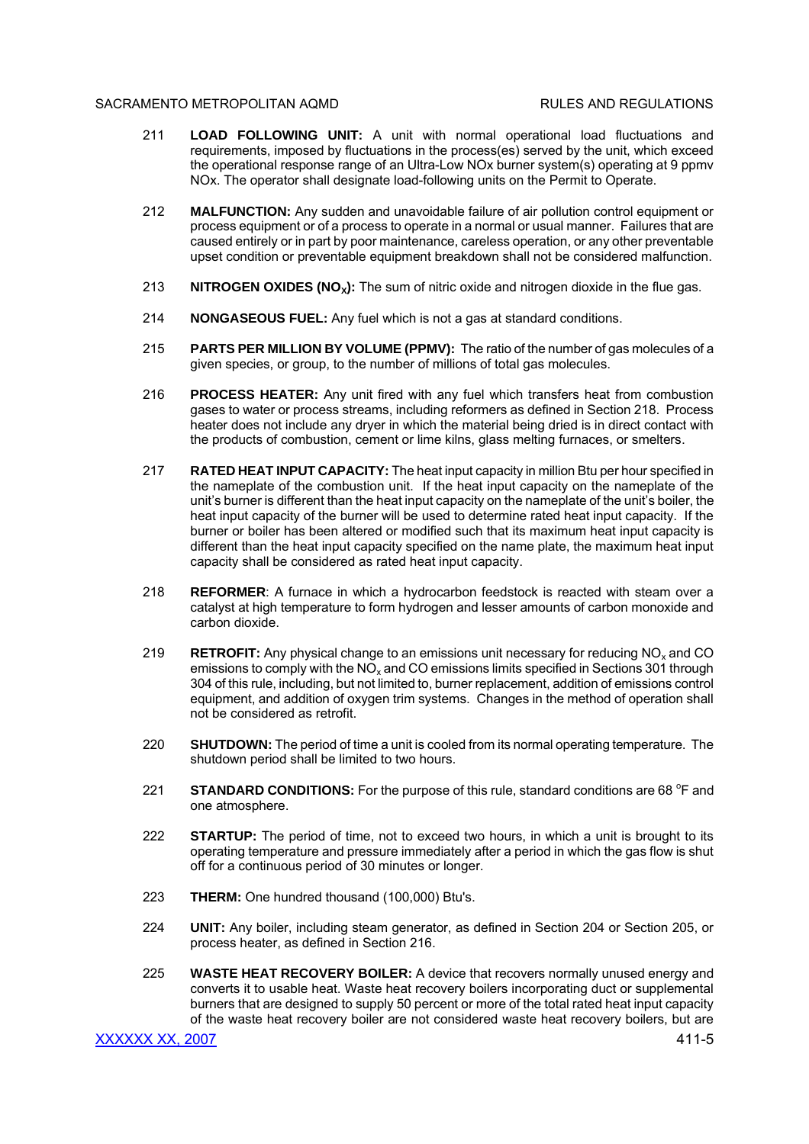## SACRAMENTO METROPOLITAN AOMD **REGULATIONS RULES AND REGULATIONS**

- 211 **LOAD FOLLOWING UNIT:** A unit with normal operational load fluctuations and requirements, imposed by fluctuations in the process(es) served by the unit, which exceed the operational response range of an Ultra-Low NOx burner system(s) operating at 9 ppmv NOx. The operator shall designate load-following units on the Permit to Operate.
- 212 **MALFUNCTION:** Any sudden and unavoidable failure of air pollution control equipment or process equipment or of a process to operate in a normal or usual manner. Failures that are caused entirely or in part by poor maintenance, careless operation, or any other preventable upset condition or preventable equipment breakdown shall not be considered malfunction.
- 213 **NITROGEN OXIDES (NO<sub>x</sub>):** The sum of nitric oxide and nitrogen dioxide in the flue gas.
- 214 **NONGASEOUS FUEL:** Any fuel which is not a gas at standard conditions.
- 215 **PARTS PER MILLION BY VOLUME (PPMV):** The ratio of the number of gas molecules of a given species, or group, to the number of millions of total gas molecules.
- 216 **PROCESS HEATER:** Any unit fired with any fuel which transfers heat from combustion gases to water or process streams, including reformers as defined in Section 218. Process heater does not include any dryer in which the material being dried is in direct contact with the products of combustion, cement or lime kilns, glass melting furnaces, or smelters.
- 217 **RATED HEAT INPUT CAPACITY:** The heat input capacity in million Btu per hour specified in the nameplate of the combustion unit. If the heat input capacity on the nameplate of the unit's burner is different than the heat input capacity on the nameplate of the unit's boiler, the heat input capacity of the burner will be used to determine rated heat input capacity. If the burner or boiler has been altered or modified such that its maximum heat input capacity is different than the heat input capacity specified on the name plate, the maximum heat input capacity shall be considered as rated heat input capacity.
- 218 **REFORMER**: A furnace in which a hydrocarbon feedstock is reacted with steam over a catalyst at high temperature to form hydrogen and lesser amounts of carbon monoxide and carbon dioxide.
- 219 **RETROFIT:** Any physical change to an emissions unit necessary for reducing NO<sub>x</sub> and CO emissions to comply with the  $NO<sub>x</sub>$  and CO emissions limits specified in Sections 301 through 304 of this rule, including, but not limited to, burner replacement, addition of emissions control equipment, and addition of oxygen trim systems. Changes in the method of operation shall not be considered as retrofit.
- 220 **SHUTDOWN:** The period of time a unit is cooled from its normal operating temperature. The shutdown period shall be limited to two hours.
- 221 **STANDARD CONDITIONS:** For the purpose of this rule, standard conditions are 68 <sup>o</sup>F and one atmosphere.
- 222 **STARTUP:** The period of time, not to exceed two hours, in which a unit is brought to its operating temperature and pressure immediately after a period in which the gas flow is shut off for a continuous period of 30 minutes or longer.
- 223 **THERM:** One hundred thousand (100,000) Btu's.
- 224 **UNIT:** Any boiler, including steam generator, as defined in Section 204 or Section 205, or process heater, as defined in Section 216.
- 225 **WASTE HEAT RECOVERY BOILER:** A device that recovers normally unused energy and converts it to usable heat. Waste heat recovery boilers incorporating duct or supplemental burners that are designed to supply 50 percent or more of the total rated heat input capacity of the waste heat recovery boiler are not considered waste heat recovery boilers, but are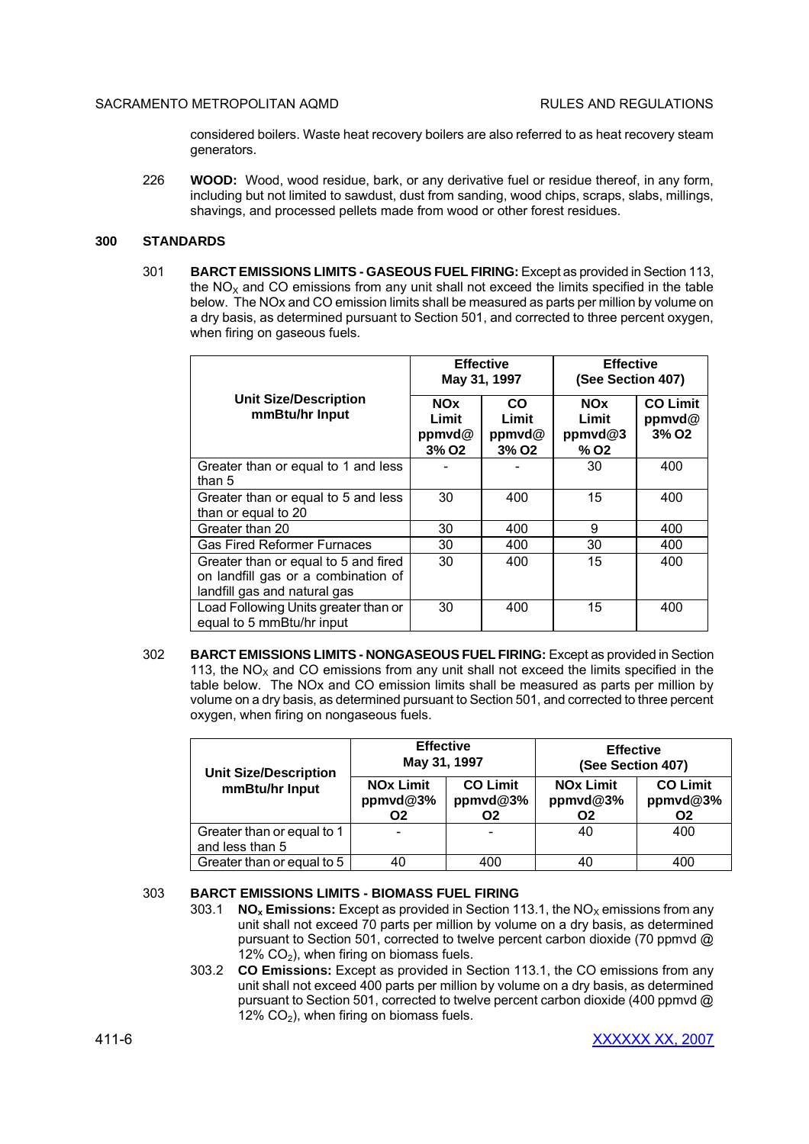considered boilers. Waste heat recovery boilers are also referred to as heat recovery steam generators.

226 **WOOD:** Wood, wood residue, bark, or any derivative fuel or residue thereof, in any form, including but not limited to sawdust, dust from sanding, wood chips, scraps, slabs, millings, shavings, and processed pellets made from wood or other forest residues.

## **300 STANDARDS**

301 **BARCT EMISSIONS LIMITS - GASEOUS FUEL FIRING:** Except as provided in Section 113, the  $NO<sub>x</sub>$  and CO emissions from any unit shall not exceed the limits specified in the table below. The NOx and CO emission limits shall be measured as parts per million by volume on a dry basis, as determined pursuant to Section 501, and corrected to three percent oxygen, when firing on gaseous fuels.

|                                                                                                             | <b>Effective</b><br>May 31, 1997                   |                                                   | <b>Effective</b><br>(See Section 407)                |                                                |
|-------------------------------------------------------------------------------------------------------------|----------------------------------------------------|---------------------------------------------------|------------------------------------------------------|------------------------------------------------|
| <b>Unit Size/Description</b><br>mmBtu/hr Input                                                              | <b>NOx</b><br>Limit<br>ppmvd@<br>3% O <sub>2</sub> | <b>CO</b><br>Limit<br>ppmvd@<br>3% O <sub>2</sub> | <b>NOx</b><br>Limit<br>ppmvd@3<br>$%$ O <sub>2</sub> | <b>CO Limit</b><br>ppmvd@<br>3% O <sub>2</sub> |
| Greater than or equal to 1 and less<br>than 5                                                               |                                                    |                                                   | 30                                                   | 400                                            |
| Greater than or equal to 5 and less<br>than or equal to 20                                                  | 30                                                 | 400                                               | 15                                                   | 400                                            |
| Greater than 20                                                                                             | 30                                                 | 400                                               | 9                                                    | 400                                            |
| <b>Gas Fired Reformer Furnaces</b>                                                                          | 30                                                 | 400                                               | 30                                                   | 400                                            |
| Greater than or equal to 5 and fired<br>on landfill gas or a combination of<br>landfill gas and natural gas | 30                                                 | 400                                               | 15                                                   | 400                                            |
| Load Following Units greater than or<br>equal to 5 mmBtu/hr input                                           | 30                                                 | 400                                               | 15                                                   | 400                                            |

302 **BARCT EMISSIONS LIMITS - NONGASEOUS FUEL FIRING:** Except as provided in Section 113, the  $NO<sub>x</sub>$  and CO emissions from any unit shall not exceed the limits specified in the table below. The NOx and CO emission limits shall be measured as parts per million by volume on a dry basis, as determined pursuant to Section 501, and corrected to three percent oxygen, when firing on nongaseous fuels.

| <b>Unit Size/Description</b>                  | <b>Effective</b><br>May 31, 1997   |                                   | <b>Effective</b><br>(See Section 407)          |                                               |  |
|-----------------------------------------------|------------------------------------|-----------------------------------|------------------------------------------------|-----------------------------------------------|--|
| mmBtu/hr Input                                | <b>NOx Limit</b><br>ppmvd@3%<br>Ο2 | <b>CO Limit</b><br>ppmvd@3%<br>Ο2 | <b>NOx Limit</b><br>ppmvd@3%<br>O <sub>2</sub> | <b>CO Limit</b><br>ppmvd@3%<br>O <sub>2</sub> |  |
| Greater than or equal to 1<br>and less than 5 |                                    |                                   | 40                                             | 400                                           |  |
| Greater than or equal to 5                    | 40                                 | 400                               | 40                                             | 400                                           |  |

# 303 **BARCT EMISSIONS LIMITS - BIOMASS FUEL FIRING**

- 303.1 **NO<sub>x</sub> Emissions:** Except as provided in Section 113.1, the NO<sub>x</sub> emissions from any unit shall not exceed 70 parts per million by volume on a dry basis, as determined pursuant to Section 501, corrected to twelve percent carbon dioxide (70 ppmvd @ 12%  $CO<sub>2</sub>$ ), when firing on biomass fuels.
- 303.2 **CO Emissions:** Except as provided in Section 113.1, the CO emissions from any unit shall not exceed 400 parts per million by volume on a dry basis, as determined pursuant to Section 501, corrected to twelve percent carbon dioxide (400 ppmvd @ 12%  $CO<sub>2</sub>$ ), when firing on biomass fuels.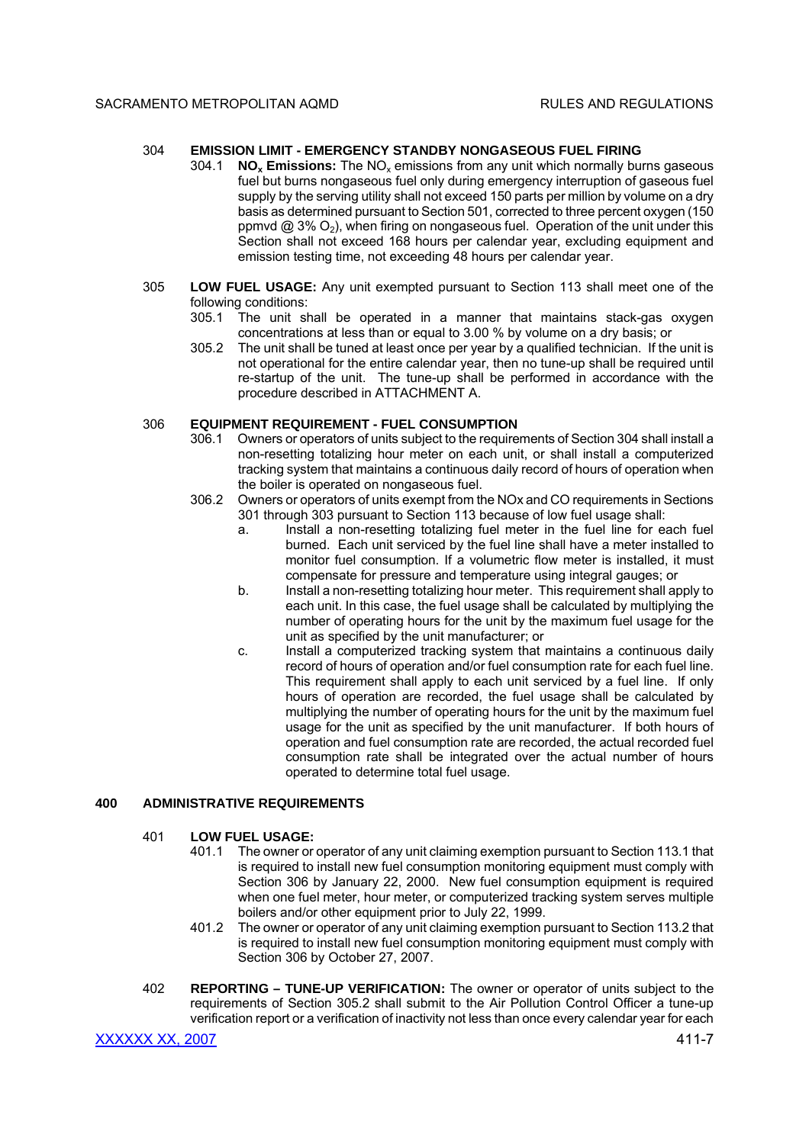## 304 **EMISSION LIMIT - EMERGENCY STANDBY NONGASEOUS FUEL FIRING**

- 304.1 **NO<sup>x</sup> Emissions:** The NO<sup>x</sup> emissions from any unit which normally burns gaseous fuel but burns nongaseous fuel only during emergency interruption of gaseous fuel supply by the serving utility shall not exceed 150 parts per million by volume on a dry basis as determined pursuant to Section 501, corrected to three percent oxygen (150 ppmvd  $@3\% O_2$ ), when firing on nongaseous fuel. Operation of the unit under this Section shall not exceed 168 hours per calendar year, excluding equipment and emission testing time, not exceeding 48 hours per calendar year.
- 305 **LOW FUEL USAGE:** Any unit exempted pursuant to Section 113 shall meet one of the following conditions:
	- 305.1 The unit shall be operated in a manner that maintains stack-gas oxygen concentrations at less than or equal to 3.00 % by volume on a dry basis; or
	- 305.2 The unit shall be tuned at least once per year by a qualified technician. If the unit is not operational for the entire calendar year, then no tune-up shall be required until re-startup of the unit. The tune-up shall be performed in accordance with the procedure described in ATTACHMENT A.

# 306 **EQUIPMENT REQUIREMENT - FUEL CONSUMPTION**

- 306.1 Owners or operators of units subject to the requirements of Section 304 shall install a non-resetting totalizing hour meter on each unit, or shall install a computerized tracking system that maintains a continuous daily record of hours of operation when the boiler is operated on nongaseous fuel.
- 306.2 Owners or operators of units exempt from the NOx and CO requirements in Sections 301 through 303 pursuant to Section 113 because of low fuel usage shall:
	- a. Install a non-resetting totalizing fuel meter in the fuel line for each fuel burned. Each unit serviced by the fuel line shall have a meter installed to monitor fuel consumption. If a volumetric flow meter is installed, it must compensate for pressure and temperature using integral gauges; or
	- b. Install a non-resetting totalizing hour meter. This requirement shall apply to each unit. In this case, the fuel usage shall be calculated by multiplying the number of operating hours for the unit by the maximum fuel usage for the unit as specified by the unit manufacturer; or
	- c. Install a computerized tracking system that maintains a continuous daily record of hours of operation and/or fuel consumption rate for each fuel line. This requirement shall apply to each unit serviced by a fuel line. If only hours of operation are recorded, the fuel usage shall be calculated by multiplying the number of operating hours for the unit by the maximum fuel usage for the unit as specified by the unit manufacturer. If both hours of operation and fuel consumption rate are recorded, the actual recorded fuel consumption rate shall be integrated over the actual number of hours operated to determine total fuel usage.

# **400 ADMINISTRATIVE REQUIREMENTS**

## 401 **LOW FUEL USAGE:**

- 401.1 The owner or operator of any unit claiming exemption pursuant to Section 113.1 that is required to install new fuel consumption monitoring equipment must comply with Section 306 by January 22, 2000. New fuel consumption equipment is required when one fuel meter, hour meter, or computerized tracking system serves multiple boilers and/or other equipment prior to July 22, 1999.
- 401.2 The owner or operator of any unit claiming exemption pursuant to Section 113.2 that is required to install new fuel consumption monitoring equipment must comply with Section 306 by October 27, 2007.
- 402 **REPORTING TUNE-UP VERIFICATION:** The owner or operator of units subject to the requirements of Section 305.2 shall submit to the Air Pollution Control Officer a tune-up verification report or a verification of inactivity not less than once every calendar year for each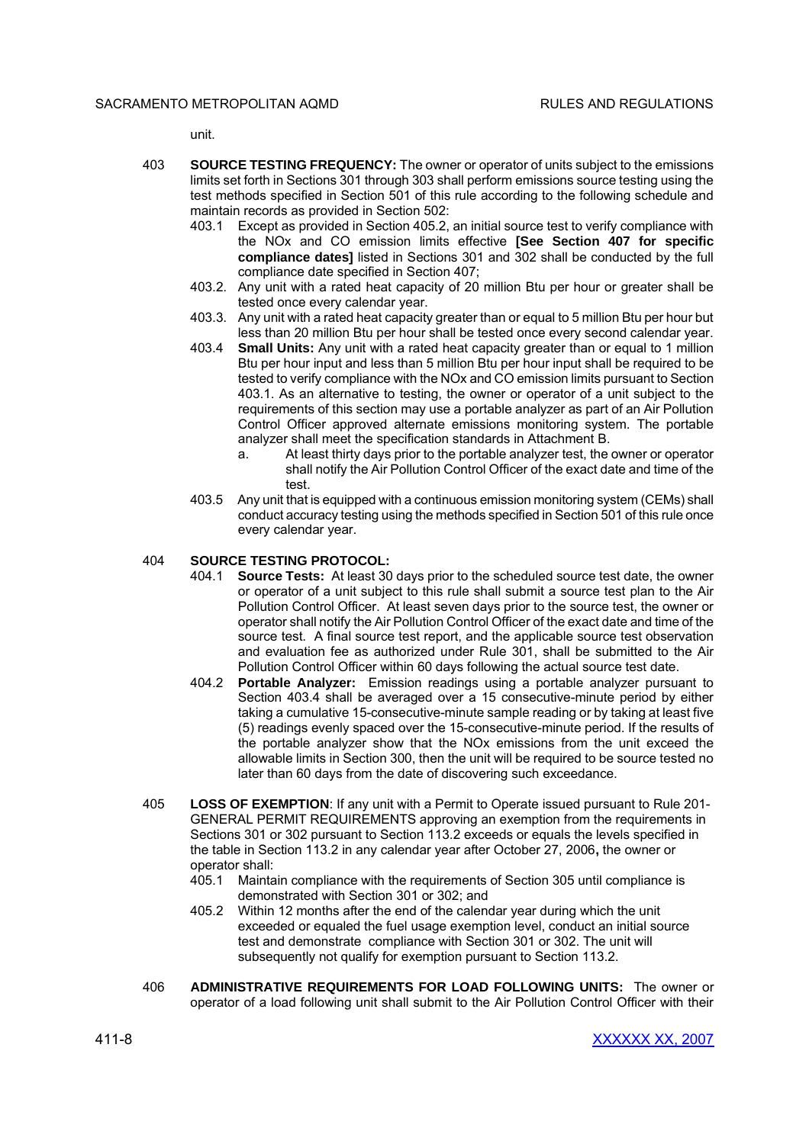unit.

- 403 **SOURCE TESTING FREQUENCY:** The owner or operator of units subject to the emissions limits set forth in Sections 301 through 303 shall perform emissions source testing using the test methods specified in Section 501 of this rule according to the following schedule and maintain records as provided in Section 502:
	- 403.1 Except as provided in Section 405.2, an initial source test to verify compliance with the NOx and CO emission limits effective **[See Section 407 for specific compliance dates]** listed in Sections 301 and 302 shall be conducted by the full compliance date specified in Section 407;
	- 403.2. Any unit with a rated heat capacity of 20 million Btu per hour or greater shall be tested once every calendar year.
	- 403.3. Any unit with a rated heat capacity greater than or equal to 5 million Btu per hour but less than 20 million Btu per hour shall be tested once every second calendar year.
	- 403.4 **Small Units:** Any unit with a rated heat capacity greater than or equal to 1 million Btu per hour input and less than 5 million Btu per hour input shall be required to be tested to verify compliance with the NOx and CO emission limits pursuant to Section 403.1. As an alternative to testing, the owner or operator of a unit subject to the requirements of this section may use a portable analyzer as part of an Air Pollution Control Officer approved alternate emissions monitoring system. The portable analyzer shall meet the specification standards in Attachment B.
		- a. At least thirty days prior to the portable analyzer test, the owner or operator shall notify the Air Pollution Control Officer of the exact date and time of the test.
	- 403.5 Any unit that is equipped with a continuous emission monitoring system (CEMs) shall conduct accuracy testing using the methods specified in Section 501 of this rule once every calendar year.

# 404 **SOURCE TESTING PROTOCOL:**

- 404.1 **Source Tests:** At least 30 days prior to the scheduled source test date, the owner or operator of a unit subject to this rule shall submit a source test plan to the Air Pollution Control Officer. At least seven days prior to the source test, the owner or operator shall notify the Air Pollution Control Officer of the exact date and time of the source test. A final source test report, and the applicable source test observation and evaluation fee as authorized under Rule 301, shall be submitted to the Air Pollution Control Officer within 60 days following the actual source test date.
- 404.2 **Portable Analyzer:** Emission readings using a portable analyzer pursuant to Section 403.4 shall be averaged over a 15 consecutive-minute period by either taking a cumulative 15-consecutive-minute sample reading or by taking at least five (5) readings evenly spaced over the 15-consecutive-minute period. If the results of the portable analyzer show that the NOx emissions from the unit exceed the allowable limits in Section 300, then the unit will be required to be source tested no later than 60 days from the date of discovering such exceedance.
- 405 **LOSS OF EXEMPTION**: If any unit with a Permit to Operate issued pursuant to Rule 201- GENERAL PERMIT REQUIREMENTS approving an exemption from the requirements in Sections 301 or 302 pursuant to Section 113.2 exceeds or equals the levels specified in the table in Section 113.2 in any calendar year after October 27, 2006**,** the owner or operator shall:
	- 405.1 Maintain compliance with the requirements of Section 305 until compliance is demonstrated with Section 301 or 302; and
	- 405.2 Within 12 months after the end of the calendar year during which the unit exceeded or equaled the fuel usage exemption level, conduct an initial source test and demonstrate compliance with Section 301 or 302. The unit will subsequently not qualify for exemption pursuant to Section 113.2.
- 406 **ADMINISTRATIVE REQUIREMENTS FOR LOAD FOLLOWING UNITS:** The owner or operator of a load following unit shall submit to the Air Pollution Control Officer with their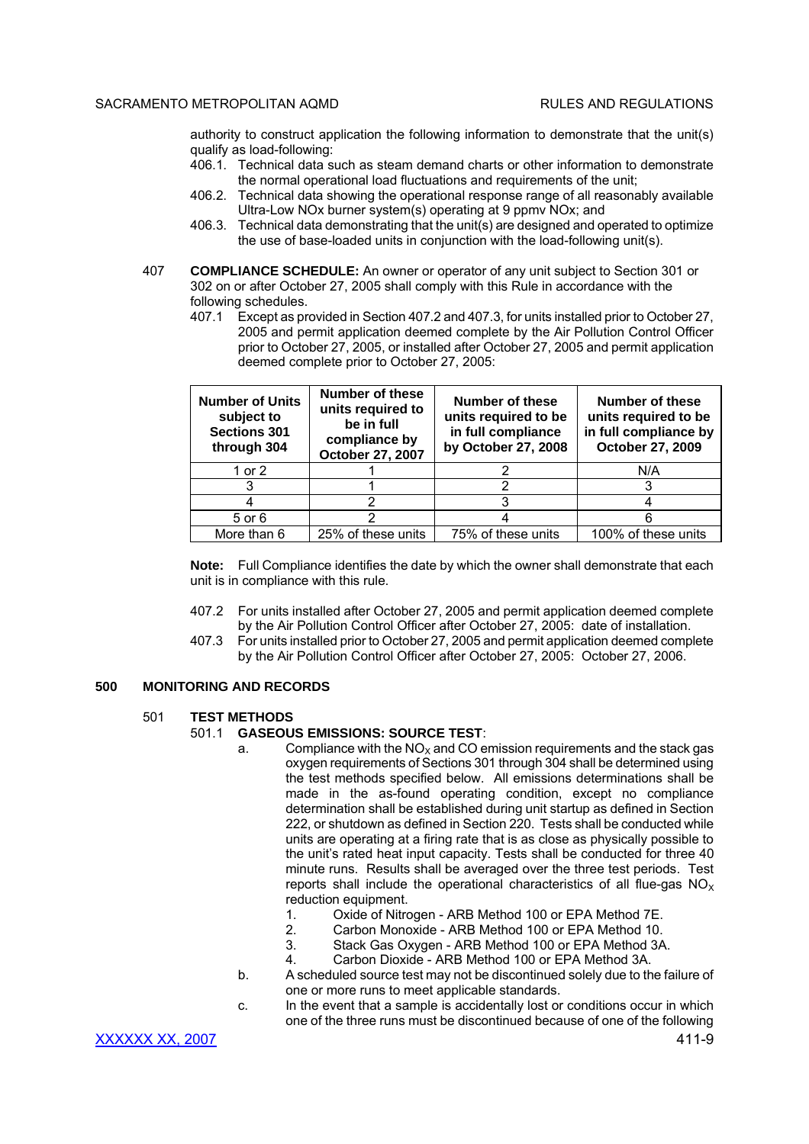authority to construct application the following information to demonstrate that the unit(s) qualify as load-following:

- 406.1. Technical data such as steam demand charts or other information to demonstrate the normal operational load fluctuations and requirements of the unit;
- 406.2. Technical data showing the operational response range of all reasonably available Ultra-Low NOx burner system(s) operating at 9 ppmv NOx; and
- 406.3. Technical data demonstrating that the unit(s) are designed and operated to optimize the use of base-loaded units in conjunction with the load-following unit(s).
- 407 **COMPLIANCE SCHEDULE:** An owner or operator of any unit subject to Section 301 or 302 on or after October 27, 2005 shall comply with this Rule in accordance with the following schedules.
	- 407.1 Except as provided in Section 407.2 and 407.3, for units installed prior to October 27, 2005 and permit application deemed complete by the Air Pollution Control Officer prior to October 27, 2005, or installed after October 27, 2005 and permit application deemed complete prior to October 27, 2005:

| <b>Number of Units</b><br>subject to<br><b>Sections 301</b><br>through 304 | <b>Number of these</b><br>units required to<br>be in full<br>compliance by<br>October 27, 2007 | <b>Number of these</b><br>units required to be<br>in full compliance<br>by October 27, 2008 | Number of these<br>units required to be<br>in full compliance by<br>October 27, 2009 |
|----------------------------------------------------------------------------|------------------------------------------------------------------------------------------------|---------------------------------------------------------------------------------------------|--------------------------------------------------------------------------------------|
| 1 or 2                                                                     |                                                                                                |                                                                                             | N/A                                                                                  |
|                                                                            |                                                                                                |                                                                                             |                                                                                      |
|                                                                            |                                                                                                |                                                                                             |                                                                                      |
| 5 or 6                                                                     |                                                                                                |                                                                                             |                                                                                      |
| More than 6                                                                | 25% of these units                                                                             | 75% of these units                                                                          | 100% of these units                                                                  |

**Note:** Full Compliance identifies the date by which the owner shall demonstrate that each unit is in compliance with this rule.

- 407.2 For units installed after October 27, 2005 and permit application deemed complete by the Air Pollution Control Officer after October 27, 2005: date of installation.
- 407.3 For units installed prior to October 27, 2005 and permit application deemed complete by the Air Pollution Control Officer after October 27, 2005: October 27, 2006.

# **500 MONITORING AND RECORDS**

## 501 **TEST METHODS**

# 501.1 **GASEOUS EMISSIONS: SOURCE TEST**:

- a. Compliance with the  $NO<sub>x</sub>$  and CO emission requirements and the stack gas oxygen requirements of Sections 301 through 304 shall be determined using the test methods specified below. All emissions determinations shall be made in the as-found operating condition, except no compliance determination shall be established during unit startup as defined in Section 222, or shutdown as defined in Section 220. Tests shall be conducted while units are operating at a firing rate that is as close as physically possible to the unit's rated heat input capacity. Tests shall be conducted for three 40 minute runs. Results shall be averaged over the three test periods. Test reports shall include the operational characteristics of all flue-gas  $NO<sub>x</sub>$ reduction equipment.
	- 1. Oxide of Nitrogen ARB Method 100 or EPA Method 7E.
	- 2. Carbon Monoxide ARB Method 100 or EPA Method 10.
	- 3. Stack Gas Oxygen ARB Method 100 or EPA Method 3A.
	- 4. Carbon Dioxide ARB Method 100 or EPA Method 3A.
- b. A scheduled source test may not be discontinued solely due to the failure of one or more runs to meet applicable standards.
- c. In the event that a sample is accidentally lost or conditions occur in which one of the three runs must be discontinued because of one of the following

XXXXXX XX, 2007 411-9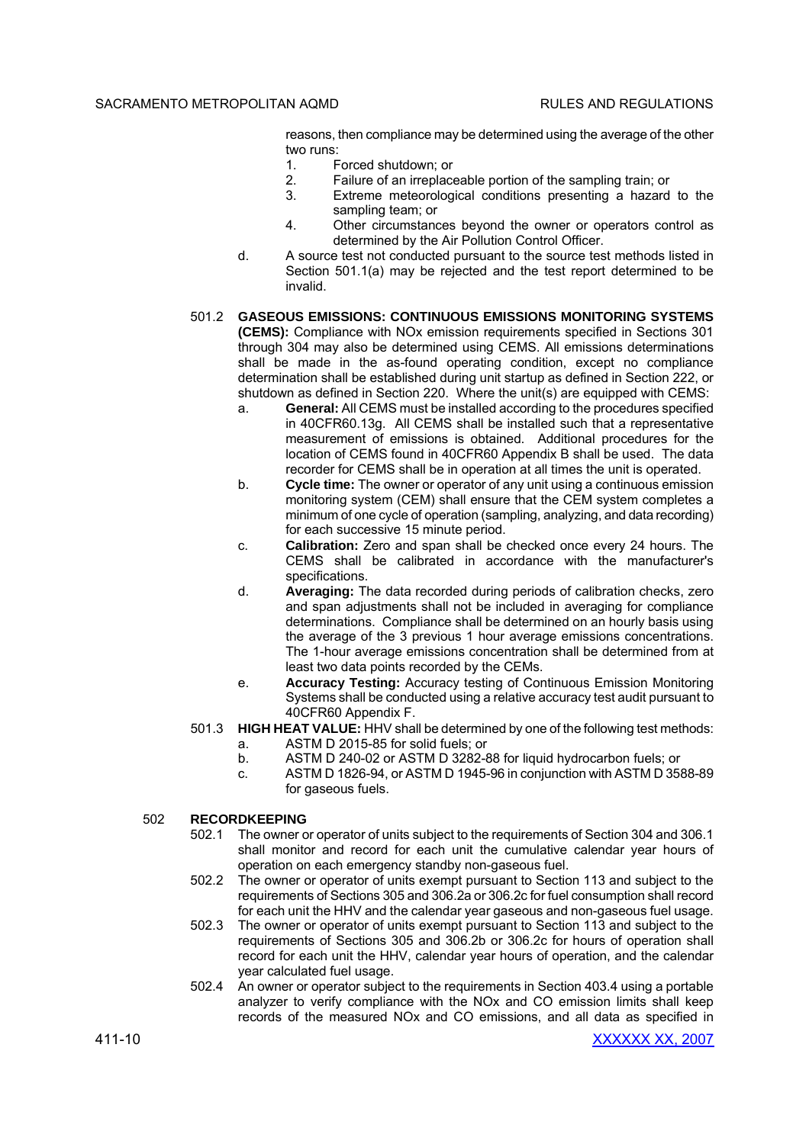reasons, then compliance may be determined using the average of the other two runs:

- 1. Forced shutdown; or
- 2. Failure of an irreplaceable portion of the sampling train; or
- 3. Extreme meteorological conditions presenting a hazard to the sampling team; or
- 4. Other circumstances beyond the owner or operators control as determined by the Air Pollution Control Officer.
- d. A source test not conducted pursuant to the source test methods listed in Section 501.1(a) may be rejected and the test report determined to be invalid.
- 501.2 **GASEOUS EMISSIONS: CONTINUOUS EMISSIONS MONITORING SYSTEMS (CEMS):** Compliance with NOx emission requirements specified in Sections 301 through 304 may also be determined using CEMS. All emissions determinations shall be made in the as-found operating condition, except no compliance determination shall be established during unit startup as defined in Section 222, or shutdown as defined in Section 220. Where the unit(s) are equipped with CEMS:
	- a. **General:** All CEMS must be installed according to the procedures specified in 40CFR60.13g. All CEMS shall be installed such that a representative measurement of emissions is obtained. Additional procedures for the location of CEMS found in 40CFR60 Appendix B shall be used. The data recorder for CEMS shall be in operation at all times the unit is operated.
	- b. **Cycle time:** The owner or operator of any unit using a continuous emission monitoring system (CEM) shall ensure that the CEM system completes a minimum of one cycle of operation (sampling, analyzing, and data recording) for each successive 15 minute period.
	- c. **Calibration:** Zero and span shall be checked once every 24 hours. The CEMS shall be calibrated in accordance with the manufacturer's specifications.
	- d. **Averaging:** The data recorded during periods of calibration checks, zero and span adjustments shall not be included in averaging for compliance determinations. Compliance shall be determined on an hourly basis using the average of the 3 previous 1 hour average emissions concentrations. The 1-hour average emissions concentration shall be determined from at least two data points recorded by the CEMs.
	- e. **Accuracy Testing:** Accuracy testing of Continuous Emission Monitoring Systems shall be conducted using a relative accuracy test audit pursuant to 40CFR60 Appendix F.
- 501.3 **HIGH HEAT VALUE:** HHV shall be determined by one of the following test methods:
	- a. ASTM D 2015-85 for solid fuels; or
	- b. ASTM D 240-02 or ASTM D 3282-88 for liquid hydrocarbon fuels; or
	- c. ASTM D 1826-94, or ASTM D 1945-96 in conjunction with ASTM D 3588-89 for gaseous fuels.

# 502 **RECORDKEEPING**

- 502.1 The owner or operator of units subject to the requirements of Section 304 and 306.1 shall monitor and record for each unit the cumulative calendar year hours of operation on each emergency standby non-gaseous fuel.
- 502.2 The owner or operator of units exempt pursuant to Section 113 and subject to the requirements of Sections 305 and 306.2a or 306.2c for fuel consumption shall record for each unit the HHV and the calendar year gaseous and non-gaseous fuel usage.
- 502.3 The owner or operator of units exempt pursuant to Section 113 and subject to the requirements of Sections 305 and 306.2b or 306.2c for hours of operation shall record for each unit the HHV, calendar year hours of operation, and the calendar year calculated fuel usage.
- 502.4 An owner or operator subject to the requirements in Section 403.4 using a portable analyzer to verify compliance with the NOx and CO emission limits shall keep records of the measured NOx and CO emissions, and all data as specified in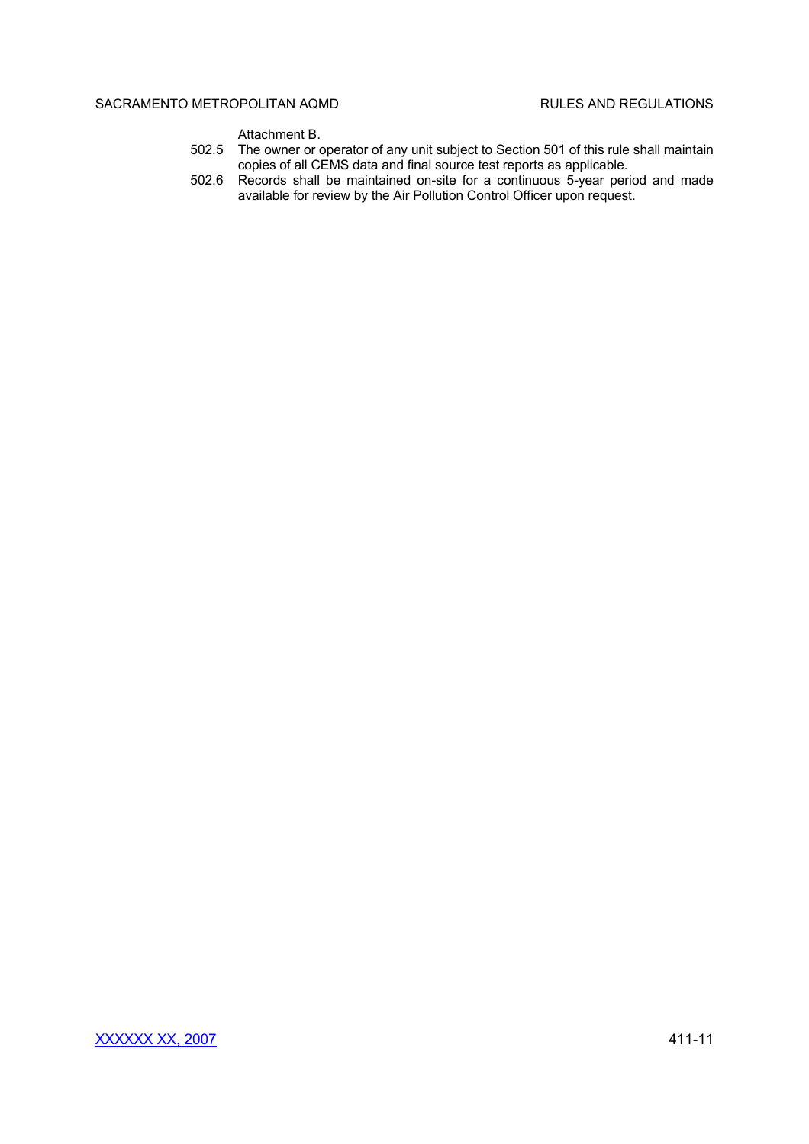Attachment B.

- 502.5 The owner or operator of any unit subject to Section 501 of this rule shall maintain copies of all CEMS data and final source test reports as applicable.
- 502.6 Records shall be maintained on-site for a continuous 5-year period and made available for review by the Air Pollution Control Officer upon request.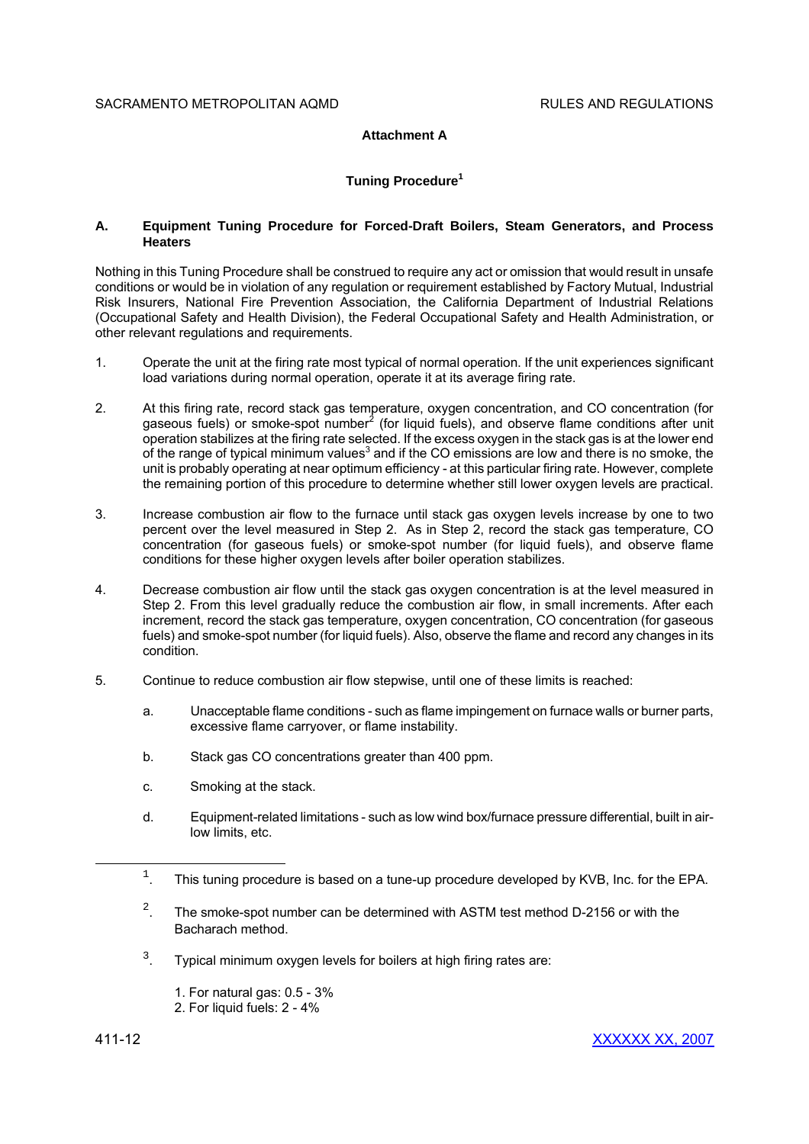# **Attachment A**

# **Tuning Procedure<sup>1</sup>**

## **A. Equipment Tuning Procedure for Forced-Draft Boilers, Steam Generators, and Process Heaters**

Nothing in this Tuning Procedure shall be construed to require any act or omission that would result in unsafe conditions or would be in violation of any regulation or requirement established by Factory Mutual, Industrial Risk Insurers, National Fire Prevention Association, the California Department of Industrial Relations (Occupational Safety and Health Division), the Federal Occupational Safety and Health Administration, or other relevant regulations and requirements.

- 1. Operate the unit at the firing rate most typical of normal operation. If the unit experiences significant load variations during normal operation, operate it at its average firing rate.
- 2. At this firing rate, record stack gas temperature, oxygen concentration, and CO concentration (for gaseous fuels) or smoke-spot number<sup>2</sup> (for liquid fuels), and observe flame conditions after unit operation stabilizes at the firing rate selected. If the excess oxygen in the stack gas is at the lower end of the range of typical minimum values<sup>3</sup> and if the CO emissions are low and there is no smoke, the unit is probably operating at near optimum efficiency - at this particular firing rate. However, complete the remaining portion of this procedure to determine whether still lower oxygen levels are practical.
- 3. Increase combustion air flow to the furnace until stack gas oxygen levels increase by one to two percent over the level measured in Step 2. As in Step 2, record the stack gas temperature, CO concentration (for gaseous fuels) or smoke-spot number (for liquid fuels), and observe flame conditions for these higher oxygen levels after boiler operation stabilizes.
- 4. Decrease combustion air flow until the stack gas oxygen concentration is at the level measured in Step 2. From this level gradually reduce the combustion air flow, in small increments. After each increment, record the stack gas temperature, oxygen concentration, CO concentration (for gaseous fuels) and smoke-spot number (for liquid fuels). Also, observe the flame and record any changes in its condition.
- 5. Continue to reduce combustion air flow stepwise, until one of these limits is reached:
	- a. Unacceptable flame conditions such as flame impingement on furnace walls or burner parts, excessive flame carryover, or flame instability.
	- b. Stack gas CO concentrations greater than 400 ppm.
	- c. Smoking at the stack.
	- d. Equipment-related limitations such as low wind box/furnace pressure differential, built in airlow limits, etc.
	- 1 . This tuning procedure is based on a tune-up procedure developed by KVB, Inc. for the EPA.
	- 2 . The smoke-spot number can be determined with ASTM test method D-2156 or with the Bacharach method.
	- 3 . Typical minimum oxygen levels for boilers at high firing rates are:
		- 1. For natural gas: 0.5 3%
		- 2. For liquid fuels: 2 4%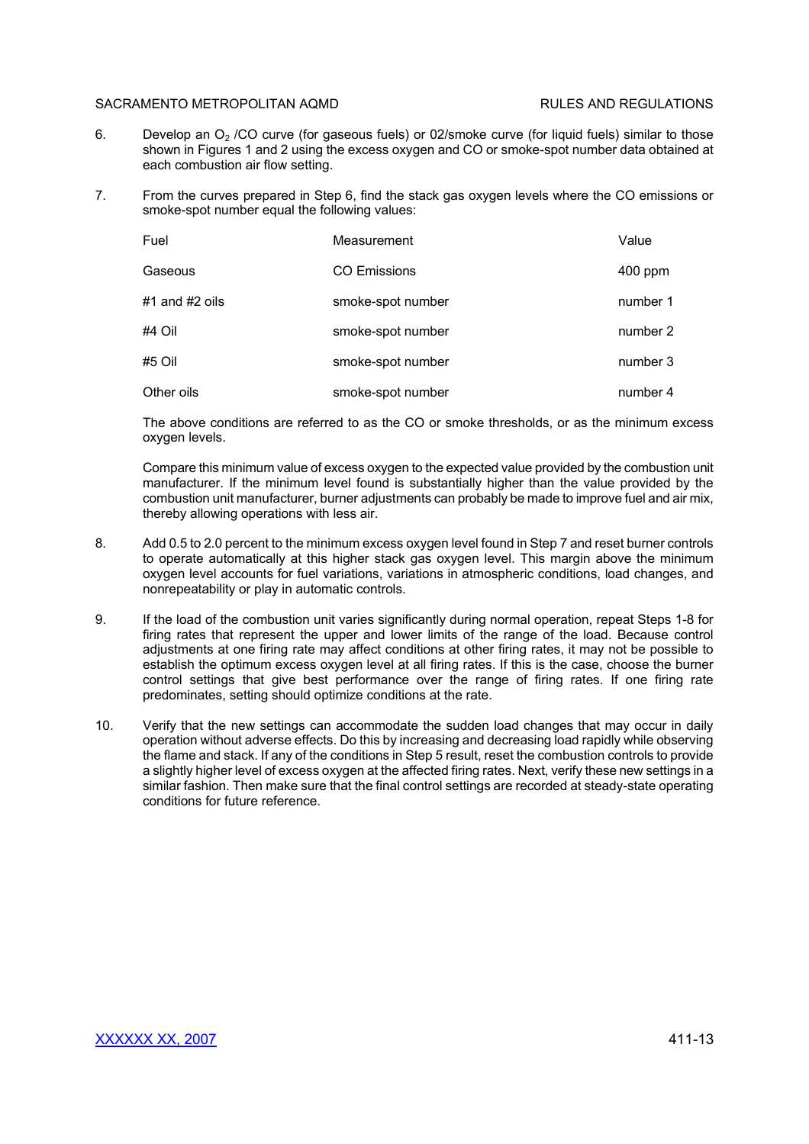- 6. Develop an  $O<sub>2</sub>$  /CO curve (for gaseous fuels) or 02/smoke curve (for liquid fuels) similar to those shown in Figures 1 and 2 using the excess oxygen and CO or smoke-spot number data obtained at each combustion air flow setting.
- 7. From the curves prepared in Step 6, find the stack gas oxygen levels where the CO emissions or smoke-spot number equal the following values:

| Fuel           | Measurement         | Value    |
|----------------|---------------------|----------|
| Gaseous        | <b>CO Emissions</b> | 400 ppm  |
| #1 and #2 oils | smoke-spot number   | number 1 |
| #4 Oil         | smoke-spot number   | number 2 |
| #5 Oil         | smoke-spot number   | number 3 |
| Other oils     | smoke-spot number   | number 4 |

The above conditions are referred to as the CO or smoke thresholds, or as the minimum excess oxygen levels.

Compare this minimum value of excess oxygen to the expected value provided by the combustion unit manufacturer. If the minimum level found is substantially higher than the value provided by the combustion unit manufacturer, burner adjustments can probably be made to improve fuel and air mix, thereby allowing operations with less air.

- 8. Add 0.5 to 2.0 percent to the minimum excess oxygen level found in Step 7 and reset burner controls to operate automatically at this higher stack gas oxygen level. This margin above the minimum oxygen level accounts for fuel variations, variations in atmospheric conditions, load changes, and nonrepeatability or play in automatic controls.
- 9. If the load of the combustion unit varies significantly during normal operation, repeat Steps 1-8 for firing rates that represent the upper and lower limits of the range of the load. Because control adjustments at one firing rate may affect conditions at other firing rates, it may not be possible to establish the optimum excess oxygen level at all firing rates. If this is the case, choose the burner control settings that give best performance over the range of firing rates. If one firing rate predominates, setting should optimize conditions at the rate.
- 10. Verify that the new settings can accommodate the sudden load changes that may occur in daily operation without adverse effects. Do this by increasing and decreasing load rapidly while observing the flame and stack. If any of the conditions in Step 5 result, reset the combustion controls to provide a slightly higher level of excess oxygen at the affected firing rates. Next, verify these new settings in a similar fashion. Then make sure that the final control settings are recorded at steady-state operating conditions for future reference.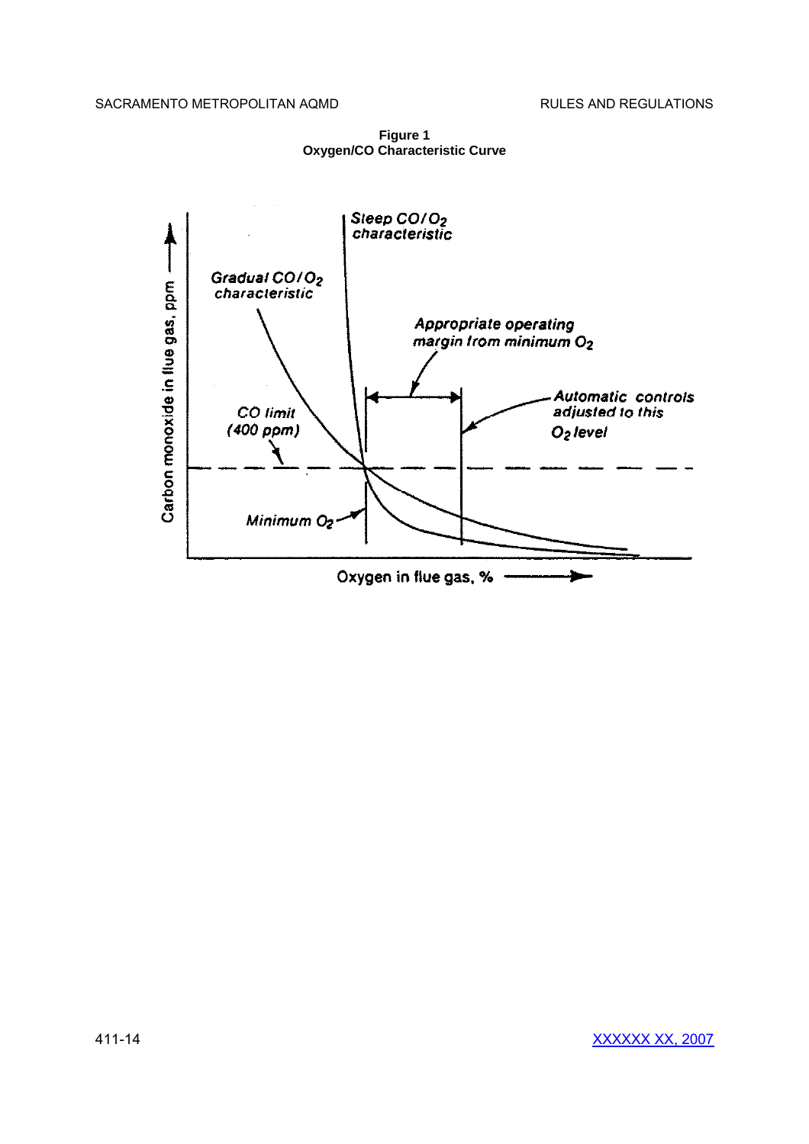

**Figure 1 Oxygen/CO Characteristic Curve**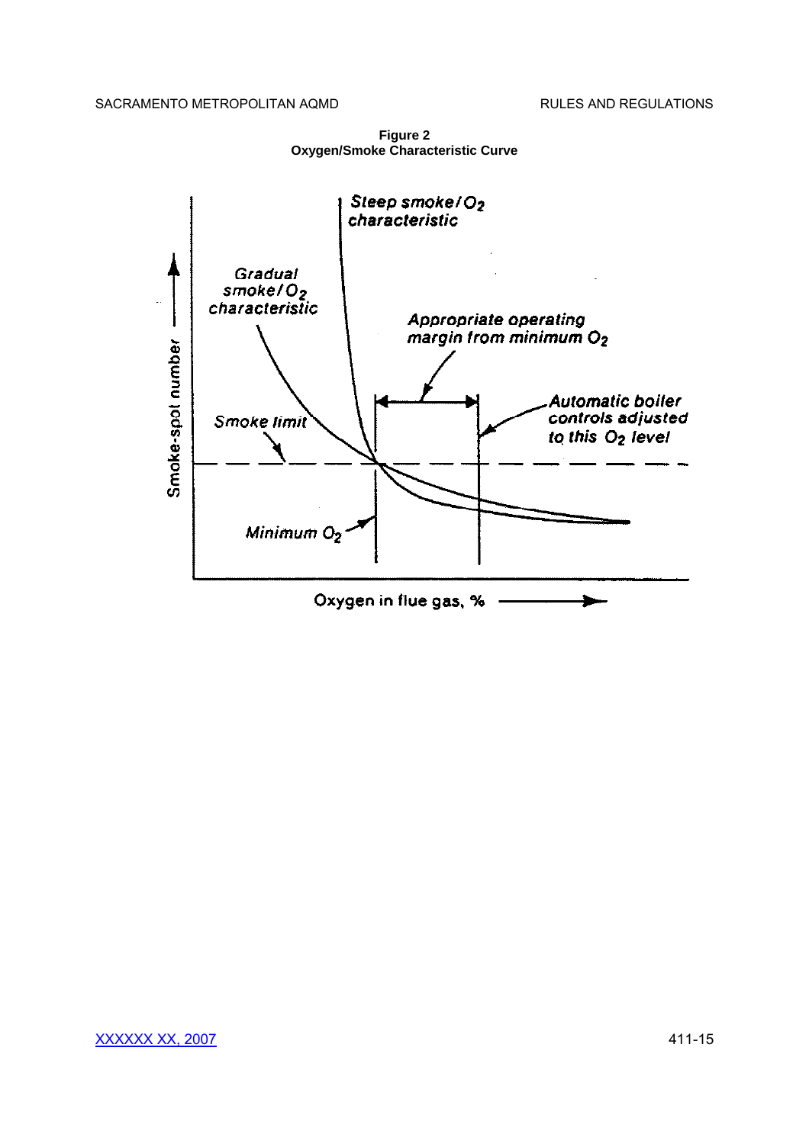

**Figure 2 Oxygen/Smoke Characteristic Curve**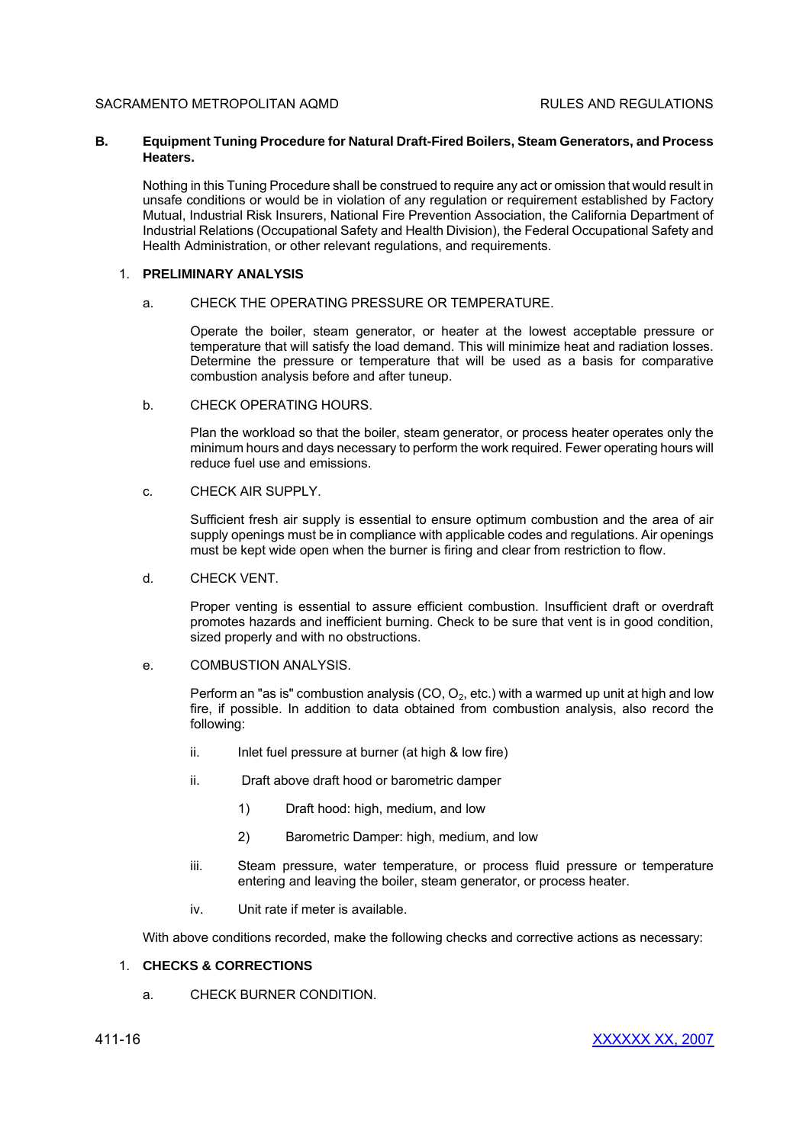# **B. Equipment Tuning Procedure for Natural Draft-Fired Boilers, Steam Generators, and Process Heaters.**

Nothing in this Tuning Procedure shall be construed to require any act or omission that would result in unsafe conditions or would be in violation of any regulation or requirement established by Factory Mutual, Industrial Risk Insurers, National Fire Prevention Association, the California Department of Industrial Relations (Occupational Safety and Health Division), the Federal Occupational Safety and Health Administration, or other relevant regulations, and requirements.

## 1. **PRELIMINARY ANALYSIS**

## a. CHECK THE OPERATING PRESSURE OR TEMPERATURE.

Operate the boiler, steam generator, or heater at the lowest acceptable pressure or temperature that will satisfy the load demand. This will minimize heat and radiation losses. Determine the pressure or temperature that will be used as a basis for comparative combustion analysis before and after tuneup.

b. CHECK OPERATING HOURS.

Plan the workload so that the boiler, steam generator, or process heater operates only the minimum hours and days necessary to perform the work required. Fewer operating hours will reduce fuel use and emissions.

c. CHECK AIR SUPPLY.

Sufficient fresh air supply is essential to ensure optimum combustion and the area of air supply openings must be in compliance with applicable codes and regulations. Air openings must be kept wide open when the burner is firing and clear from restriction to flow.

d. CHECK VENT.

Proper venting is essential to assure efficient combustion. Insufficient draft or overdraft promotes hazards and inefficient burning. Check to be sure that vent is in good condition, sized properly and with no obstructions.

e. COMBUSTION ANALYSIS.

Perform an "as is" combustion analysis (CO,  $O_2$ , etc.) with a warmed up unit at high and low fire, if possible. In addition to data obtained from combustion analysis, also record the following:

- ii. Inlet fuel pressure at burner (at high & low fire)
- ii. Draft above draft hood or barometric damper
	- 1) Draft hood: high, medium, and low
	- 2) Barometric Damper: high, medium, and low
- iii. Steam pressure, water temperature, or process fluid pressure or temperature entering and leaving the boiler, steam generator, or process heater.
- iv. Unit rate if meter is available.

With above conditions recorded, make the following checks and corrective actions as necessary:

## 1. **CHECKS & CORRECTIONS**

a. CHECK BURNER CONDITION.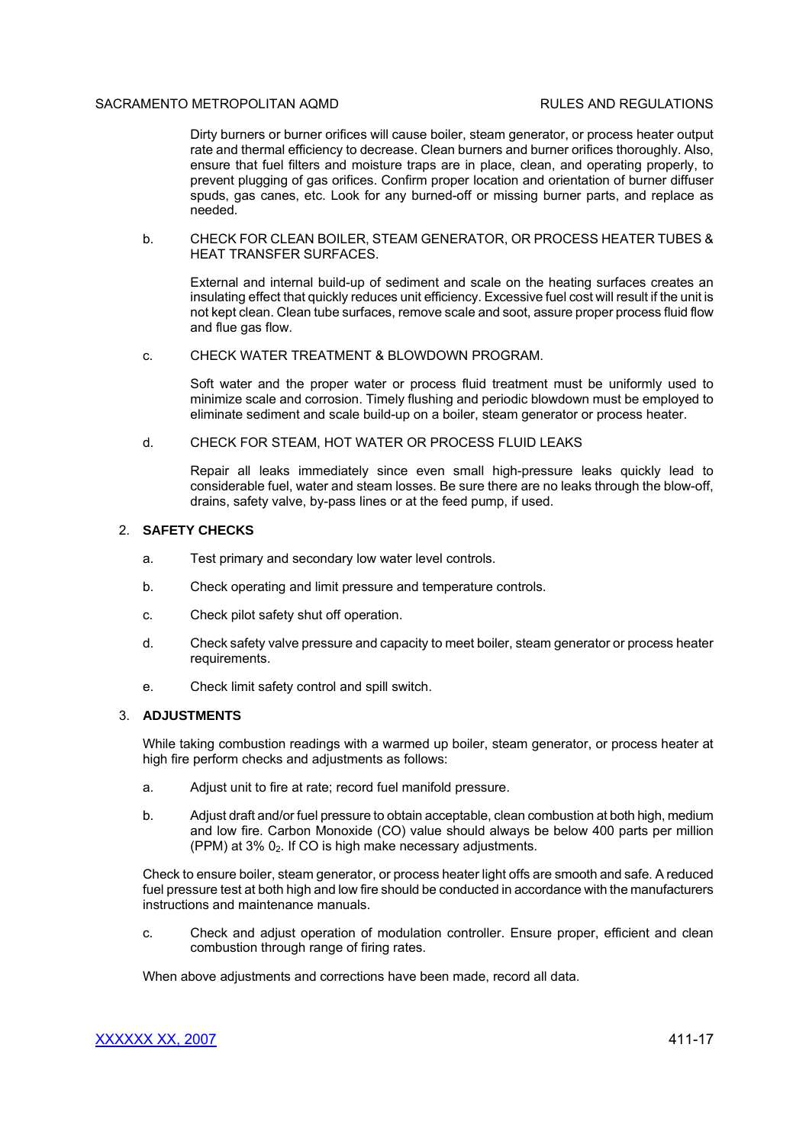## SACRAMENTO METROPOLITAN AOMD **REGULATIONS RULES AND REGULATIONS**

Dirty burners or burner orifices will cause boiler, steam generator, or process heater output rate and thermal efficiency to decrease. Clean burners and burner orifices thoroughly. Also, ensure that fuel filters and moisture traps are in place, clean, and operating properly, to prevent plugging of gas orifices. Confirm proper location and orientation of burner diffuser spuds, gas canes, etc. Look for any burned-off or missing burner parts, and replace as needed.

b. CHECK FOR CLEAN BOILER, STEAM GENERATOR, OR PROCESS HEATER TUBES & HEAT TRANSFER SURFACES.

External and internal build-up of sediment and scale on the heating surfaces creates an insulating effect that quickly reduces unit efficiency. Excessive fuel cost will result if the unit is not kept clean. Clean tube surfaces, remove scale and soot, assure proper process fluid flow and flue gas flow.

c. CHECK WATER TREATMENT & BLOWDOWN PROGRAM.

Soft water and the proper water or process fluid treatment must be uniformly used to minimize scale and corrosion. Timely flushing and periodic blowdown must be employed to eliminate sediment and scale build-up on a boiler, steam generator or process heater.

d. CHECK FOR STEAM, HOT WATER OR PROCESS FLUID LEAKS

Repair all leaks immediately since even small high-pressure leaks quickly lead to considerable fuel, water and steam losses. Be sure there are no leaks through the blow-off, drains, safety valve, by-pass lines or at the feed pump, if used.

# 2. **SAFETY CHECKS**

- a. Test primary and secondary low water level controls.
- b. Check operating and limit pressure and temperature controls.
- c. Check pilot safety shut off operation.
- d. Check safety valve pressure and capacity to meet boiler, steam generator or process heater requirements.
- e. Check limit safety control and spill switch.

## 3. **ADJUSTMENTS**

While taking combustion readings with a warmed up boiler, steam generator, or process heater at high fire perform checks and adjustments as follows:

- a. Adjust unit to fire at rate; record fuel manifold pressure.
- b. Adjust draft and/or fuel pressure to obtain acceptable, clean combustion at both high, medium and low fire. Carbon Monoxide (CO) value should always be below 400 parts per million (PPM) at  $3\%$   $0<sub>2</sub>$ . If CO is high make necessary adjustments.

Check to ensure boiler, steam generator, or process heater light offs are smooth and safe. A reduced fuel pressure test at both high and low fire should be conducted in accordance with the manufacturers instructions and maintenance manuals.

c. Check and adjust operation of modulation controller. Ensure proper, efficient and clean combustion through range of firing rates.

When above adjustments and corrections have been made, record all data.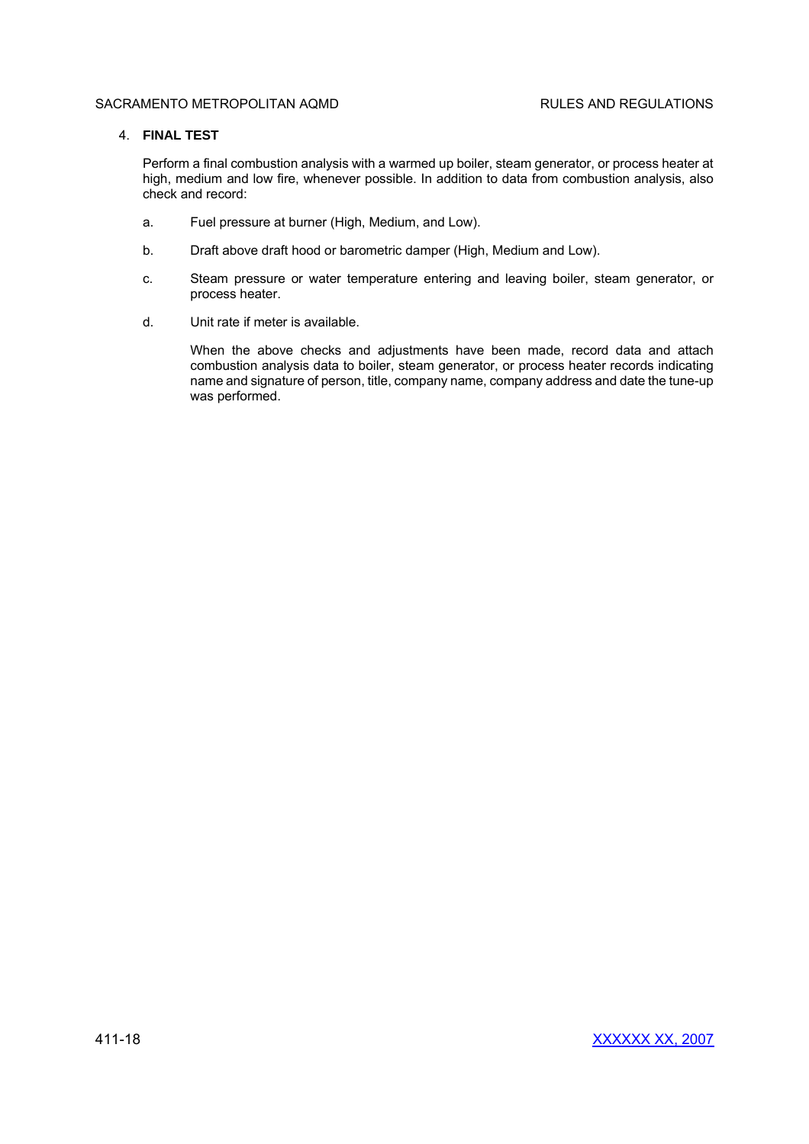# 4. **FINAL TEST**

Perform a final combustion analysis with a warmed up boiler, steam generator, or process heater at high, medium and low fire, whenever possible. In addition to data from combustion analysis, also check and record:

- a. Fuel pressure at burner (High, Medium, and Low).
- b. Draft above draft hood or barometric damper (High, Medium and Low).
- c. Steam pressure or water temperature entering and leaving boiler, steam generator, or process heater.
- d. Unit rate if meter is available.

When the above checks and adjustments have been made, record data and attach combustion analysis data to boiler, steam generator, or process heater records indicating name and signature of person, title, company name, company address and date the tune-up was performed.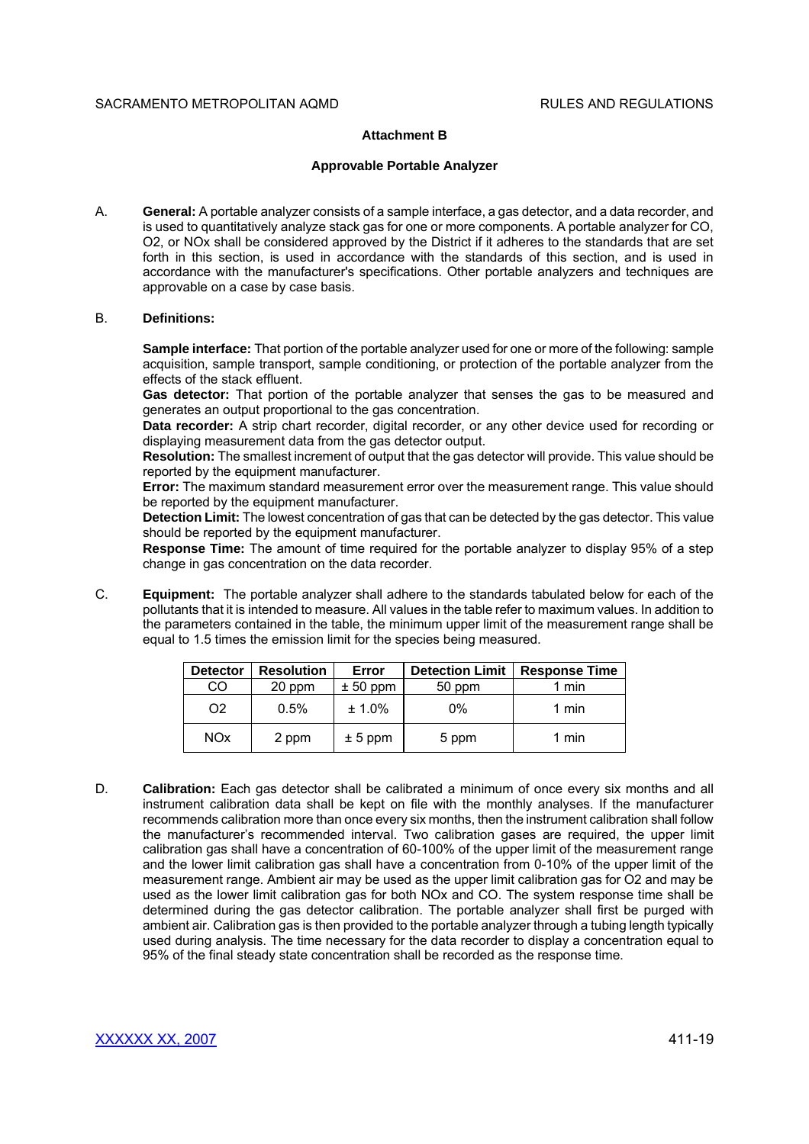# **Attachment B**

## **Approvable Portable Analyzer**

A. **General:** A portable analyzer consists of a sample interface, a gas detector, and a data recorder, and is used to quantitatively analyze stack gas for one or more components. A portable analyzer for CO, O2, or NOx shall be considered approved by the District if it adheres to the standards that are set forth in this section, is used in accordance with the standards of this section, and is used in accordance with the manufacturer's specifications. Other portable analyzers and techniques are approvable on a case by case basis.

## B. **Definitions:**

**Sample interface:** That portion of the portable analyzer used for one or more of the following: sample acquisition, sample transport, sample conditioning, or protection of the portable analyzer from the effects of the stack effluent.

**Gas detector:** That portion of the portable analyzer that senses the gas to be measured and generates an output proportional to the gas concentration.

**Data recorder:** A strip chart recorder, digital recorder, or any other device used for recording or displaying measurement data from the gas detector output.

**Resolution:** The smallest increment of output that the gas detector will provide. This value should be reported by the equipment manufacturer.

**Error:** The maximum standard measurement error over the measurement range. This value should be reported by the equipment manufacturer.

**Detection Limit:** The lowest concentration of gas that can be detected by the gas detector. This value should be reported by the equipment manufacturer.

**Response Time:** The amount of time required for the portable analyzer to display 95% of a step change in gas concentration on the data recorder.

C. **Equipment:** The portable analyzer shall adhere to the standards tabulated below for each of the pollutants that it is intended to measure. All values in the table refer to maximum values. In addition to the parameters contained in the table, the minimum upper limit of the measurement range shall be equal to 1.5 times the emission limit for the species being measured.

| <b>Detector</b> | <b>Resolution</b> | Error      | <b>Detection Limit</b> | <b>Response Time</b> |
|-----------------|-------------------|------------|------------------------|----------------------|
| CO              | 20 ppm            | $± 50$ ppm | 50 ppm                 | min                  |
| O <sub>2</sub>  | 0.5%              | ± 1.0%     | 0%                     | 1 min                |
| <b>NOx</b>      | 2 ppm             | $± 5$ ppm  | 5 ppm                  | $1$ min              |

D. **Calibration:** Each gas detector shall be calibrated a minimum of once every six months and all instrument calibration data shall be kept on file with the monthly analyses. If the manufacturer recommends calibration more than once every six months, then the instrument calibration shall follow the manufacturer's recommended interval. Two calibration gases are required, the upper limit calibration gas shall have a concentration of 60-100% of the upper limit of the measurement range and the lower limit calibration gas shall have a concentration from 0-10% of the upper limit of the measurement range. Ambient air may be used as the upper limit calibration gas for O2 and may be used as the lower limit calibration gas for both NOx and CO. The system response time shall be determined during the gas detector calibration. The portable analyzer shall first be purged with ambient air. Calibration gas is then provided to the portable analyzer through a tubing length typically used during analysis. The time necessary for the data recorder to display a concentration equal to 95% of the final steady state concentration shall be recorded as the response time.